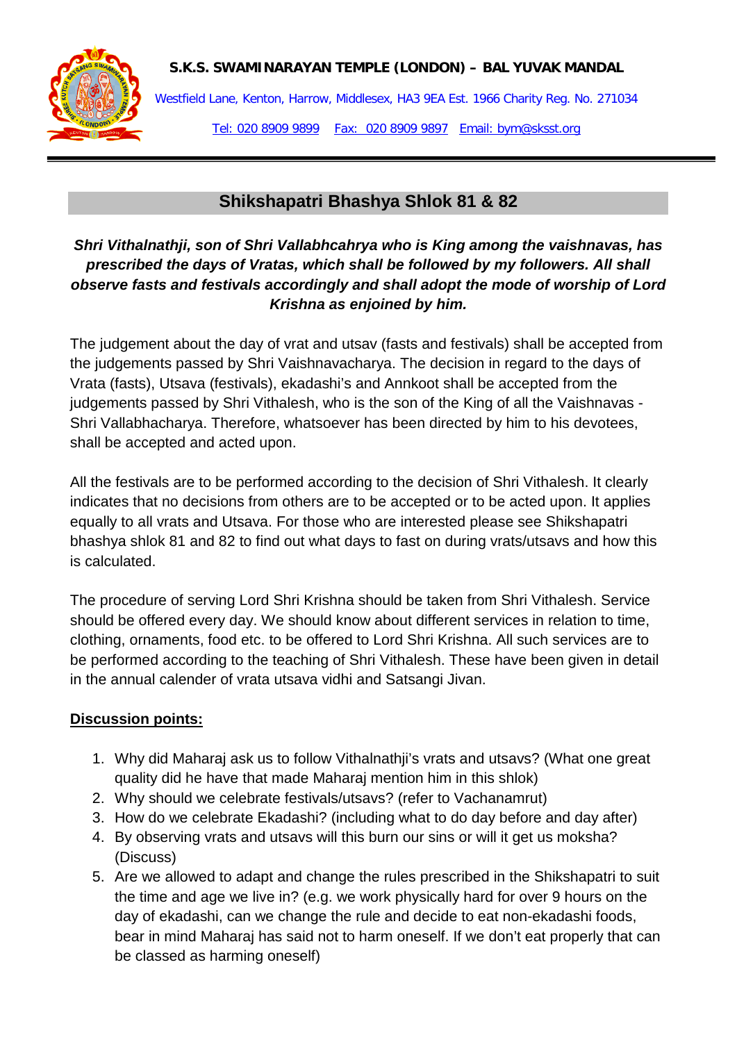

Westfield Lane, Kenton, Harrow, Middlesex, HA3 9EA Est. 1966 Charity Reg. No. 271034 Tel: 020 8909 9899 Fax: 020 8909 9897 Email: bym@sksst.org

## **Shikshapatri Bhashya Shlok 81 & 82**

## *Shri Vithalnathji, son of Shri Vallabhcahrya who is King among the vaishnavas, has prescribed the days of Vratas, which shall be followed by my followers. All shall observe fasts and festivals accordingly and shall adopt the mode of worship of Lord Krishna as enjoined by him.*

The judgement about the day of vrat and utsav (fasts and festivals) shall be accepted from the judgements passed by Shri Vaishnavacharya. The decision in regard to the days of Vrata (fasts), Utsava (festivals), ekadashi's and Annkoot shall be accepted from the judgements passed by Shri Vithalesh, who is the son of the King of all the Vaishnavas - Shri Vallabhacharya. Therefore, whatsoever has been directed by him to his devotees, shall be accepted and acted upon.

All the festivals are to be performed according to the decision of Shri Vithalesh. It clearly indicates that no decisions from others are to be accepted or to be acted upon. It applies equally to all vrats and Utsava. For those who are interested please see Shikshapatri bhashya shlok 81 and 82 to find out what days to fast on during vrats/utsavs and how this is calculated.

The procedure of serving Lord Shri Krishna should be taken from Shri Vithalesh. Service should be offered every day. We should know about different services in relation to time, clothing, ornaments, food etc. to be offered to Lord Shri Krishna. All such services are to be performed according to the teaching of Shri Vithalesh. These have been given in detail in the annual calender of vrata utsava vidhi and Satsangi Jivan.

## **Discussion points:**

- 1. Why did Maharaj ask us to follow Vithalnathji's vrats and utsavs? (What one great quality did he have that made Maharaj mention him in this shlok)
- 2. Why should we celebrate festivals/utsavs? (refer to Vachanamrut)
- 3. How do we celebrate Ekadashi? (including what to do day before and day after)
- 4. By observing vrats and utsavs will this burn our sins or will it get us moksha? (Discuss)
- 5. Are we allowed to adapt and change the rules prescribed in the Shikshapatri to suit the time and age we live in? (e.g. we work physically hard for over 9 hours on the day of ekadashi, can we change the rule and decide to eat non-ekadashi foods, bear in mind Maharaj has said not to harm oneself. If we don't eat properly that can be classed as harming oneself)